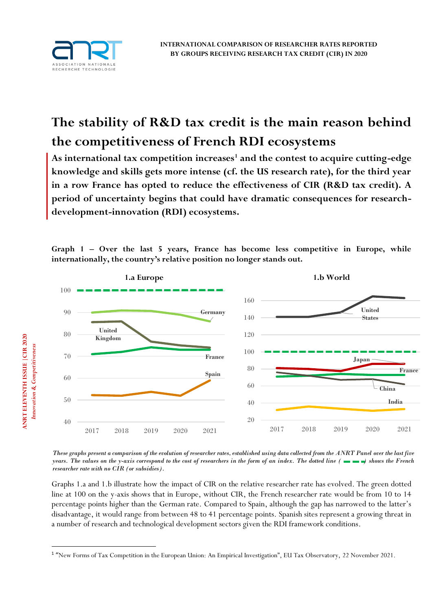

**ANRT ELEVENTH ISSUE | CIR 2020** 

**ELEVENTH ISSUE |CIR 2020** *Innovation & Competitiveness* 

Innovation & Competitiveness

# **The stability of R&D tax credit is the main reason behind the competitiveness of French RDI ecosystems**

**As international tax competition increases<sup>1</sup> and the contest to acquire cutting-edge knowledge and skills gets more intense (cf. the US research rate), for the third year in a row France has opted to reduce the effectiveness of CIR (R&D tax credit). A period of uncertainty begins that could have dramatic consequences for researchdevelopment-innovation (RDI) ecosystems.** 

**Graph 1 – Over the last 5 years, France has become less competitive in Europe, while internationally, the country's relative position no longer stands out.**



*These graphs present a comparison of the evolution of researcher rates, established using data collected from the ANRT Panel over the last five years. The values on the y-axis correspond to the cost of researchers in the form of an index. The dotted line ( ) shows the French researcher rate with no CIR (or subsidies).*

Graphs 1.a and 1.b illustrate how the impact of CIR on the relative researcher rate has evolved. The green dotted line at 100 on the y-axis shows that in Europe, without CIR, the French researcher rate would be from 10 to 14 percentage points higher than the German rate. Compared to Spain, although the gap has narrowed to the latter's disadvantage, it would range from between 48 to 41 percentage points. Spanish sites represent a growing threat in a number of research and technological development sectors given the RDI framework conditions.

<sup>1</sup> "New Forms of Tax Competition in the European Union: An Empirical Investigation", EU Tax Observatory, 22 November 2021.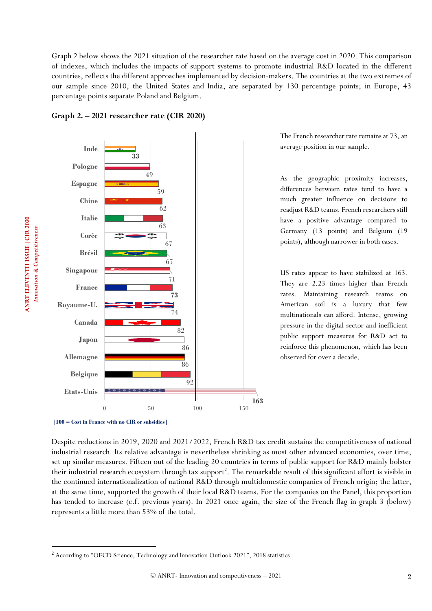Graph 2 below shows the 2021 situation of the researcher rate based on the average cost in 2020. This comparison of indexes, which includes the impacts of support systems to promote industrial R&D located in the different countries, reflects the different approaches implemented by decision-makers. The countries at the two extremes of our sample since 2010, the United States and India, are separated by 130 percentage points; in Europe, 43 percentage points separate Poland and Belgium.





The French researcher rate remains at 73, an average position in our sample.

As the geographic proximity increases, differences between rates tend to have a much greater influence on decisions to readjust R&D teams. French researchers still have a positive advantage compared to Germany (13 points) and Belgium (19 points), although narrower in both cases.

US rates appear to have stabilized at 163. They are 2.23 times higher than French rates. Maintaining research teams on American soil is a luxury that few multinationals can afford. Intense, growing pressure in the digital sector and inefficient public support measures for R&D act to reinforce this phenomenon, which has been observed for over a decade.

Despite reductions in 2019, 2020 and 2021/2022, French R&D tax credit sustains the competitiveness of national industrial research. Its relative advantage is nevertheless shrinking as most other advanced economies, over time, set up similar measures. Fifteen out of the leading 20 countries in terms of public support for R&D mainly bolster their industrial research ecosystem through tax support<sup>2</sup>. The remarkable result of this significant effort is visible in the continued internationalization of national R&D through multidomestic companies of French origin; the latter, at the same time, supported the growth of their local R&D teams. For the companies on the Panel, this proportion has tended to increase (c.f. previous years). In 2021 once again, the size of the French flag in graph 3 (below) represents a little more than 53% of the total.

**<sup>|100 =</sup> Cost in France with no CIR or subsidies|**

<sup>2</sup> According to "OECD Science, Technology and Innovation Outlook 2021", 2018 statistics.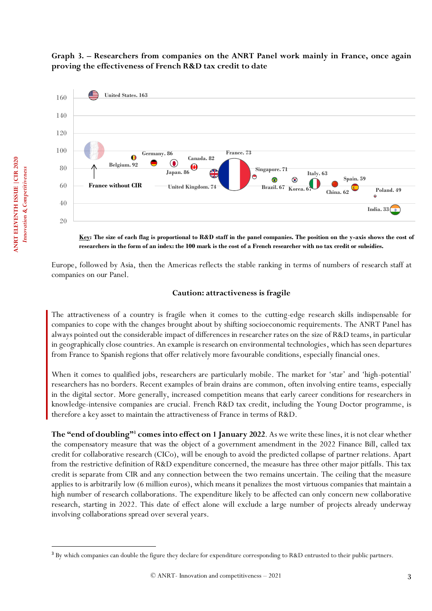# **Graph 3. – Researchers from companies on the ANRT Panel work mainly in France, once again proving the effectiveness of French R&D tax credit to date**



**Key: The size of each flag is proportional to R&D staff in the panel companies. The position on the y-axis shows the cost of researchers in the form of an index: the 100 mark is the cost of a French researcher with no tax credit or subsidies.**

Europe, followed by Asia, then the Americas reflects the stable ranking in terms of numbers of research staff at companies on our Panel.

# **Caution: attractiveness is fragile**

The attractiveness of a country is fragile when it comes to the cutting-edge research skills indispensable for companies to cope with the changes brought about by shifting socioeconomic requirements. The ANRT Panel has always pointed out the considerable impact of differences in researcher rates on the size of R&D teams, in particular in geographically close countries. An example is research on environmental technologies, which has seen departures from France to Spanish regions that offer relatively more favourable conditions, especially financial ones.

When it comes to qualified jobs, researchers are particularly mobile. The market for 'star' and 'high-potential' researchers has no borders. Recent examples of brain drains are common, often involving entire teams, especially in the digital sector. More generally, increased competition means that early career conditions for researchers in knowledge-intensive companies are crucial. French R&D tax credit, including the Young Doctor programme, is therefore a key asset to maintain the attractiveness of France in terms of R&D.

**The "end of doubling"<sup>3</sup> comes into effect on 1 January 2022**. As we write these lines, it is not clear whether the compensatory measure that was the object of a government amendment in the 2022 Finance Bill, called tax credit for collaborative research (CICo), will be enough to avoid the predicted collapse of partner relations. Apart from the restrictive definition of R&D expenditure concerned, the measure has three other major pitfalls. This tax credit is separate from CIR and any connection between the two remains uncertain. The ceiling that the measure applies to is arbitrarily low (6 million euros), which means it penalizes the most virtuous companies that maintain a high number of research collaborations. The expenditure likely to be affected can only concern new collaborative research, starting in 2022. This date of effect alone will exclude a large number of projects already underway involving collaborations spread over several years.

<sup>&</sup>lt;sup>3</sup> By which companies can double the figure they declare for expenditure corresponding to R&D entrusted to their public partners.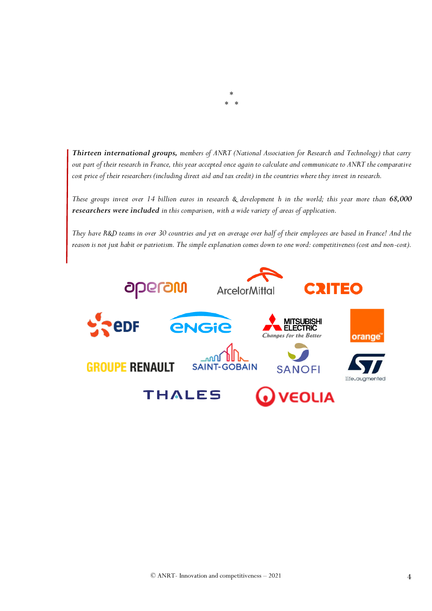*Thirteen international groups, members of ANRT (National Association for Research and Technology) that carry out part of their research in France, this year accepted once again to calculate and communicate to ANRT the comparative cost price of their researchers (including direct aid and tax credit) in the countries where they invest in research.*

\* \* \*

*These groups invest over 14 billion euros in research & development h in the world; this year more than 68,000 researchers were included in this comparison, with a wide variety of areas of application.* 

*They have R&D teams in over 30 countries and yet on average over half of their employees are based in France! And the reason is not just habit or patriotism. The simple explanation comes down to one word: competitiveness (cost and non-cost).*